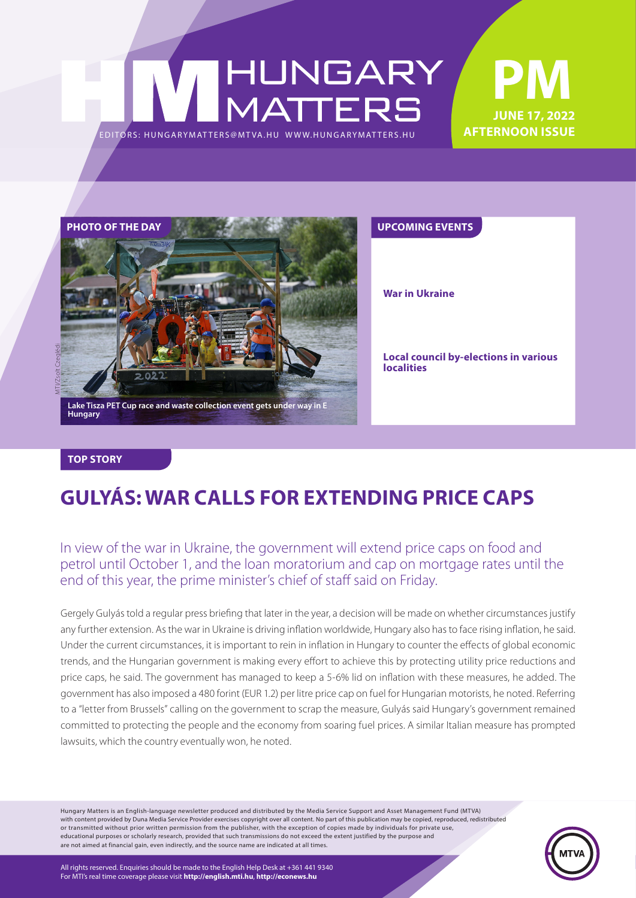### **PM** HUNGARY<br>MATTERS **June 17, 2022 AFTERNOON ISSUE** EDITORS: HUNGARYMAT TERS@MT VA.HU WWW.HUNGARYMAT TERS.HU



**War in Ukraine**

**Local council by-elections in various localities**

#### **TOP STORY**

### **GULYÁS: WAR CALLS FOR EXTENDING PRICE CAPS**

### In view of the war in Ukraine, the government will extend price caps on food and petrol until October 1, and the loan moratorium and cap on mortgage rates until the end of this year, the prime minister's chief of staff said on Friday.

Gergely Gulyás told a regular press briefing that later in the year, a decision will be made on whether circumstances justify any further extension. As the war in Ukraine is driving inflation worldwide, Hungary also has to face rising inflation, he said. Under the current circumstances, it is important to rein in inflation in Hungary to counter the effects of global economic trends, and the Hungarian government is making every effort to achieve this by protecting utility price reductions and price caps, he said. The government has managed to keep a 5-6% lid on inflation with these measures, he added. The government has also imposed a 480 forint (EUR 1.2) per litre price cap on fuel for Hungarian motorists, he noted. Referring to a "letter from Brussels" calling on the government to scrap the measure, Gulyás said Hungary's government remained committed to protecting the people and the economy from soaring fuel prices. A similar Italian measure has prompted lawsuits, which the country eventually won, he noted.

Hungary Matters is an English-language newsletter produced and distributed by the Media Service Support and Asset Management Fund (MTVA) with content provided by Duna Media Service Provider exercises copyright over all content. No part of this publication may be copied, reproduced, redistributed or transmitted without prior written permission from the publisher, with the exception of copies made by individuals for private use, educational purposes or scholarly research, provided that such transmissions do not exceed the extent justified by the purpose and are not aimed at financial gain, even indirectly, and the source name are indicated at all times.

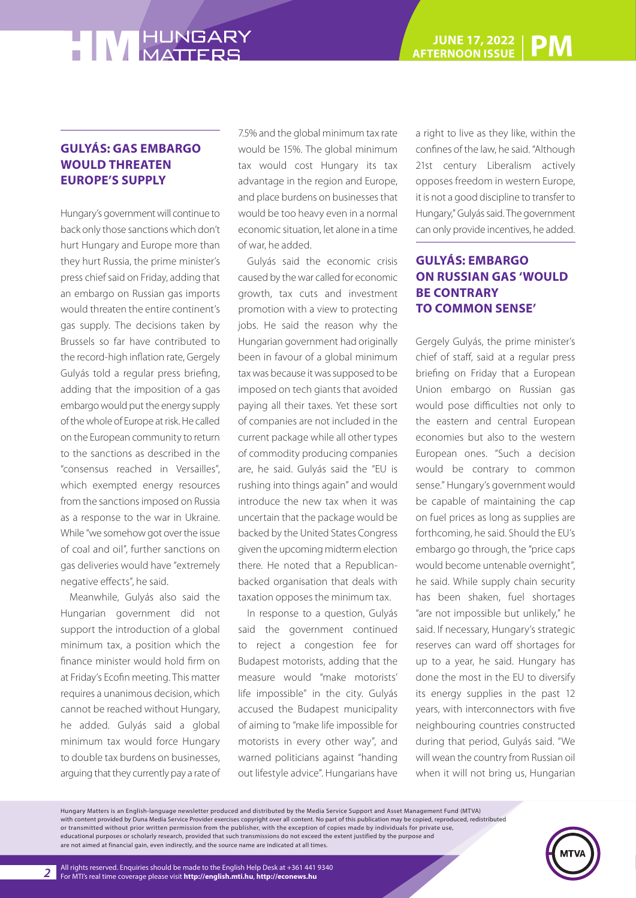#### **GULYÁS: GAS EMBARGO WOULD THREATEN EUROPE'S SUPPLY**

Hungary's government will continue to back only those sanctions which don't hurt Hungary and Europe more than they hurt Russia, the prime minister's press chief said on Friday, adding that an embargo on Russian gas imports would threaten the entire continent's gas supply. The decisions taken by Brussels so far have contributed to the record-high inflation rate, Gergely Gulyás told a regular press briefing, adding that the imposition of a gas embargo would put the energy supply of the whole of Europe at risk. He called on the European community to return to the sanctions as described in the "consensus reached in Versailles", which exempted energy resources from the sanctions imposed on Russia as a response to the war in Ukraine. While "we somehow got over the issue of coal and oil", further sanctions on gas deliveries would have "extremely negative effects", he said.

Meanwhile, Gulyás also said the Hungarian government did not support the introduction of a global minimum tax, a position which the finance minister would hold firm on at Friday's Ecofin meeting. This matter requires a unanimous decision, which cannot be reached without Hungary, he added. Gulyás said a global minimum tax would force Hungary to double tax burdens on businesses, arguing that they currently pay a rate of

7.5% and the global minimum tax rate would be 15%. The global minimum tax would cost Hungary its tax advantage in the region and Europe, and place burdens on businesses that would be too heavy even in a normal economic situation, let alone in a time of war, he added.

Gulyás said the economic crisis caused by the war called for economic growth, tax cuts and investment promotion with a view to protecting jobs. He said the reason why the Hungarian government had originally been in favour of a global minimum tax was because it was supposed to be imposed on tech giants that avoided paying all their taxes. Yet these sort of companies are not included in the current package while all other types of commodity producing companies are, he said. Gulyás said the "EU is rushing into things again" and would introduce the new tax when it was uncertain that the package would be backed by the United States Congress given the upcoming midterm election there. He noted that a Republicanbacked organisation that deals with taxation opposes the minimum tax.

In response to a question, Gulyás said the government continued to reject a congestion fee for Budapest motorists, adding that the measure would "make motorists' life impossible" in the city. Gulyás accused the Budapest municipality of aiming to "make life impossible for motorists in every other way", and warned politicians against "handing out lifestyle advice". Hungarians have

a right to live as they like, within the confines of the law, he said. "Although 21st century Liberalism actively opposes freedom in western Europe, it is not a good discipline to transfer to Hungary," Gulyás said. The government can only provide incentives, he added.

#### **GULYÁS: EMBARGO ON RUSSIAN GAS 'WOULD BE CONTRARY TO COMMON SENSE'**

Gergely Gulyás, the prime minister's chief of staff, said at a regular press briefing on Friday that a European Union embargo on Russian gas would pose difficulties not only to the eastern and central European economies but also to the western European ones. "Such a decision would be contrary to common sense." Hungary's government would be capable of maintaining the cap on fuel prices as long as supplies are forthcoming, he said. Should the EU's embargo go through, the "price caps would become untenable overnight", he said. While supply chain security has been shaken, fuel shortages "are not impossible but unlikely," he said. If necessary, Hungary's strategic reserves can ward off shortages for up to a year, he said. Hungary has done the most in the EU to diversify its energy supplies in the past 12 years, with interconnectors with five neighbouring countries constructed during that period, Gulyás said. "We will wean the country from Russian oil when it will not bring us, Hungarian

Hungary Matters is an English-language newsletter produced and distributed by the Media Service Support and Asset Management Fund (MTVA) with content provided by Duna Media Service Provider exercises copyright over all content. No part of this publication may be copied, reproduced, redistributed or transmitted without prior written permission from the publisher, with the exception of copies made by individuals for private use, educational purposes or scholarly research, provided that such transmissions do not exceed the extent justified by the purpose and are not aimed at financial gain, even indirectly, and the source name are indicated at all times.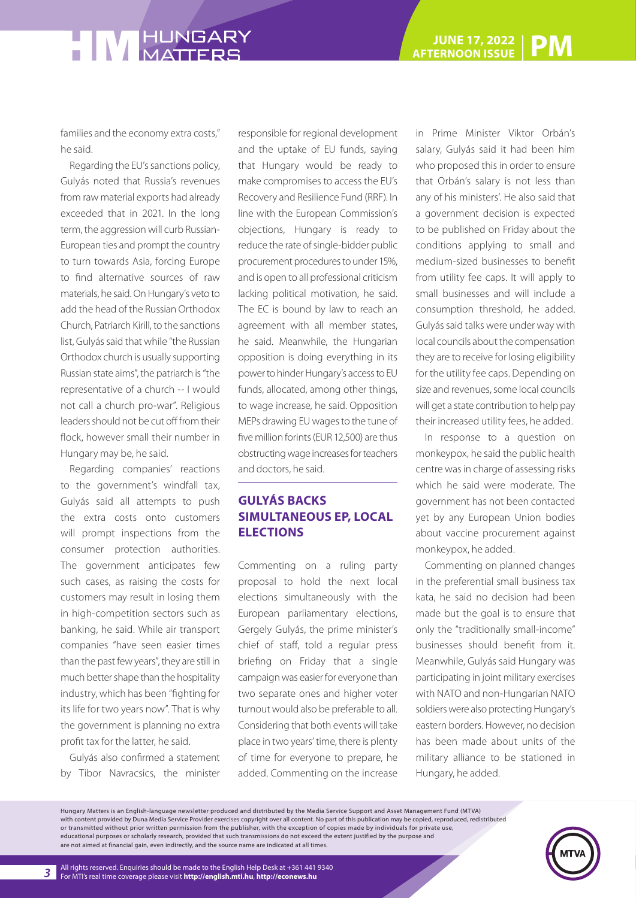families and the economy extra costs," he said.

Regarding the EU's sanctions policy, Gulyás noted that Russia's revenues from raw material exports had already exceeded that in 2021. In the long term, the aggression will curb Russian-European ties and prompt the country to turn towards Asia, forcing Europe to find alternative sources of raw materials, he said. On Hungary's veto to add the head of the Russian Orthodox Church, Patriarch Kirill, to the sanctions list, Gulyás said that while "the Russian Orthodox church is usually supporting Russian state aims", the patriarch is "the representative of a church -- I would not call a church pro-war". Religious leaders should not be cut off from their flock, however small their number in Hungary may be, he said.

Regarding companies' reactions to the government's windfall tax, Gulyás said all attempts to push the extra costs onto customers will prompt inspections from the consumer protection authorities. The government anticipates few such cases, as raising the costs for customers may result in losing them in high-competition sectors such as banking, he said. While air transport companies "have seen easier times than the past few years", they are still in much better shape than the hospitality industry, which has been "fighting for its life for two years now". That is why the government is planning no extra profit tax for the latter, he said.

Gulyás also confirmed a statement by Tibor Navracsics, the minister responsible for regional development and the uptake of EU funds, saying that Hungary would be ready to make compromises to access the EU's Recovery and Resilience Fund (RRF). In line with the European Commission's objections, Hungary is ready to reduce the rate of single-bidder public procurement procedures to under 15%, and is open to all professional criticism lacking political motivation, he said. The EC is bound by law to reach an agreement with all member states, he said. Meanwhile, the Hungarian opposition is doing everything in its power to hinder Hungary's access to EU funds, allocated, among other things, to wage increase, he said. Opposition MEPs drawing EU wages to the tune of five million forints (EUR 12,500) are thus obstructing wage increases for teachers and doctors, he said.

#### **GULYÁS BACKS SIMULTANEOUS EP, LOCAL ELECTIONS**

Commenting on a ruling party proposal to hold the next local elections simultaneously with the European parliamentary elections, Gergely Gulyás, the prime minister's chief of staff, told a regular press briefing on Friday that a single campaign was easier for everyone than two separate ones and higher voter turnout would also be preferable to all. Considering that both events will take place in two years' time, there is plenty of time for everyone to prepare, he added. Commenting on the increase

in Prime Minister Viktor Orbán's salary, Gulyás said it had been him who proposed this in order to ensure that Orbán's salary is not less than any of his ministers'. He also said that a government decision is expected to be published on Friday about the conditions applying to small and medium-sized businesses to benefit from utility fee caps. It will apply to small businesses and will include a consumption threshold, he added. Gulyás said talks were under way with local councils about the compensation they are to receive for losing eligibility for the utility fee caps. Depending on size and revenues, some local councils will get a state contribution to help pay their increased utility fees, he added.

In response to a question on monkeypox, he said the public health centre was in charge of assessing risks which he said were moderate. The government has not been contacted yet by any European Union bodies about vaccine procurement against monkeypox, he added.

Commenting on planned changes in the preferential small business tax kata, he said no decision had been made but the goal is to ensure that only the "traditionally small-income" businesses should benefit from it. Meanwhile, Gulyás said Hungary was participating in joint military exercises with NATO and non-Hungarian NATO soldiers were also protecting Hungary's eastern borders. However, no decision has been made about units of the military alliance to be stationed in Hungary, he added.

Hungary Matters is an English-language newsletter produced and distributed by the Media Service Support and Asset Management Fund (MTVA) with content provided by Duna Media Service Provider exercises copyright over all content. No part of this publication may be copied, reproduced, redistributed or transmitted without prior written permission from the publisher, with the exception of copies made by individuals for private use, educational purposes or scholarly research, provided that such transmissions do not exceed the extent justified by the purpose and are not aimed at financial gain, even indirectly, and the source name are indicated at all times.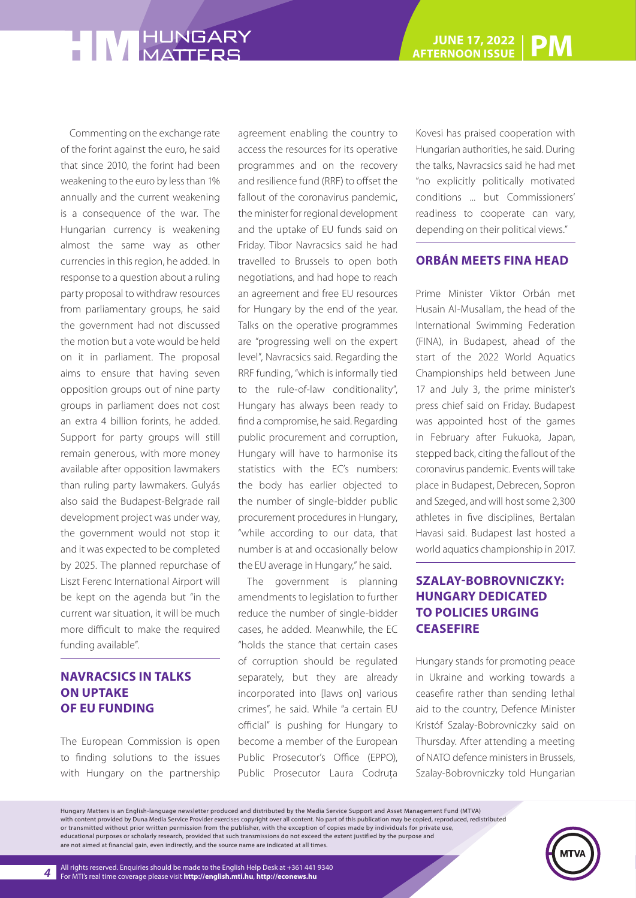Commenting on the exchange rate of the forint against the euro, he said that since 2010, the forint had been weakening to the euro by less than 1% annually and the current weakening is a consequence of the war. The Hungarian currency is weakening almost the same way as other currencies in this region, he added. In response to a question about a ruling party proposal to withdraw resources from parliamentary groups, he said the government had not discussed the motion but a vote would be held on it in parliament. The proposal aims to ensure that having seven opposition groups out of nine party groups in parliament does not cost an extra 4 billion forints, he added. Support for party groups will still remain generous, with more money available after opposition lawmakers than ruling party lawmakers. Gulyás also said the Budapest-Belgrade rail development project was under way, the government would not stop it and it was expected to be completed by 2025. The planned repurchase of Liszt Ferenc International Airport will be kept on the agenda but "in the current war situation, it will be much more difficult to make the required funding available".

#### **NAVRACSICS IN TALKS ON UPTAKE OF EU FUNDING**

The European Commission is open to finding solutions to the issues with Hungary on the partnership agreement enabling the country to access the resources for its operative programmes and on the recovery and resilience fund (RRF) to offset the fallout of the coronavirus pandemic, the minister for regional development and the uptake of EU funds said on Friday. Tibor Navracsics said he had travelled to Brussels to open both negotiations, and had hope to reach an agreement and free EU resources for Hungary by the end of the year. Talks on the operative programmes are "progressing well on the expert level", Navracsics said. Regarding the RRF funding, "which is informally tied to the rule-of-law conditionality", Hungary has always been ready to find a compromise, he said. Regarding public procurement and corruption, Hungary will have to harmonise its statistics with the EC's numbers: the body has earlier objected to the number of single-bidder public procurement procedures in Hungary, "while according to our data, that number is at and occasionally below the EU average in Hungary," he said.

The government is planning amendments to legislation to further reduce the number of single-bidder cases, he added. Meanwhile, the EC "holds the stance that certain cases of corruption should be regulated separately, but they are already incorporated into [laws on] various crimes", he said. While "a certain EU official" is pushing for Hungary to become a member of the European Public Prosecutor's Office (EPPO), Public Prosecutor Laura Codruța

Kovesi has praised cooperation with Hungarian authorities, he said. During the talks, Navracsics said he had met "no explicitly politically motivated conditions ... but Commissioners' readiness to cooperate can vary, depending on their political views."

#### **ORBÁN MEETS FINA HEAD**

Prime Minister Viktor Orbán met Husain Al-Musallam, the head of the International Swimming Federation (FINA), in Budapest, ahead of the start of the 2022 World Aquatics Championships held between June 17 and July 3, the prime minister's press chief said on Friday. Budapest was appointed host of the games in February after Fukuoka, Japan, stepped back, citing the fallout of the coronavirus pandemic. Events will take place in Budapest, Debrecen, Sopron and Szeged, and will host some 2,300 athletes in five disciplines, Bertalan Havasi said. Budapest last hosted a world aquatics championship in 2017.

#### **SZALAY-BOBROVNICZKY: HUNGARY DEDICATED TO POLICIES URGING CEASEFIRE**

Hungary stands for promoting peace in Ukraine and working towards a ceasefire rather than sending lethal aid to the country, Defence Minister Kristóf Szalay-Bobrovniczky said on Thursday. After attending a meeting of NATO defence ministers in Brussels, Szalay-Bobrovniczky told Hungarian

Hungary Matters is an English-language newsletter produced and distributed by the Media Service Support and Asset Management Fund (MTVA) with content provided by Duna Media Service Provider exercises copyright over all content. No part of this publication may be copied, reproduced, redistributed or transmitted without prior written permission from the publisher, with the exception of copies made by individuals for private use, educational purposes or scholarly research, provided that such transmissions do not exceed the extent justified by the purpose and are not aimed at financial gain, even indirectly, and the source name are indicated at all times.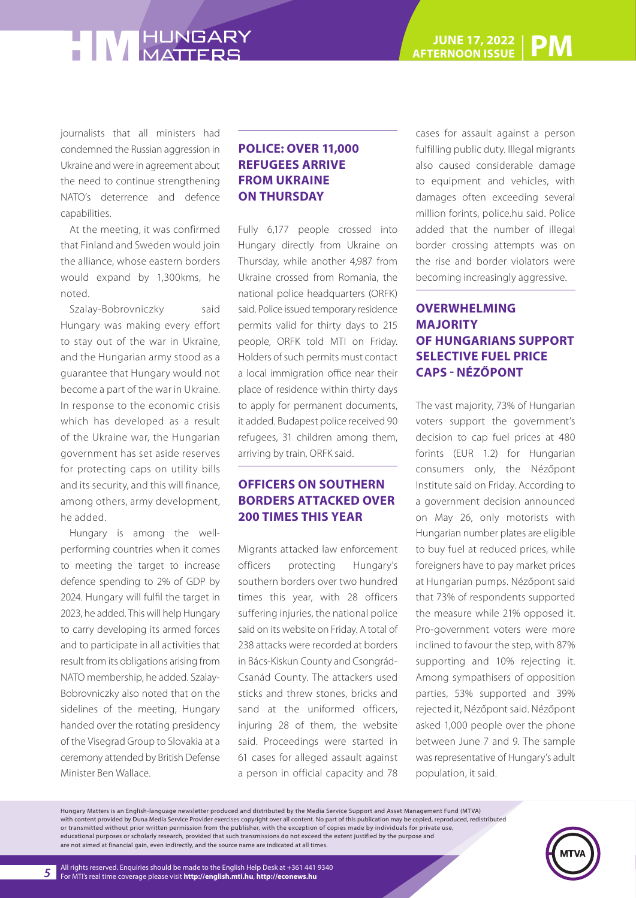journalists that all ministers had condemned the Russian aggression in Ukraine and were in agreement about the need to continue strengthening NATO's deterrence and defence capabilities.

At the meeting, it was confirmed that Finland and Sweden would join the alliance, whose eastern borders would expand by 1,300kms, he noted.

Szalay-Bobrovniczky said Hungary was making every effort to stay out of the war in Ukraine, and the Hungarian army stood as a guarantee that Hungary would not become a part of the war in Ukraine. In response to the economic crisis which has developed as a result of the Ukraine war, the Hungarian government has set aside reserves for protecting caps on utility bills and its security, and this will finance, among others, army development, he added.

Hungary is among the wellperforming countries when it comes to meeting the target to increase defence spending to 2% of GDP by 2024. Hungary will fulfil the target in 2023, he added. This will help Hungary to carry developing its armed forces and to participate in all activities that result from its obligations arising from NATO membership, he added. Szalay-Bobrovniczky also noted that on the sidelines of the meeting, Hungary handed over the rotating presidency of the Visegrad Group to Slovakia at a ceremony attended by British Defense Minister Ben Wallace.

#### **POLICE: OVER 11,000 REFUGEES ARRIVE FROM UKRAINE ON THURSDAY**

Fully 6,177 people crossed into Hungary directly from Ukraine on Thursday, while another 4,987 from Ukraine crossed from Romania, the national police headquarters (ORFK) said. Police issued temporary residence permits valid for thirty days to 215 people, ORFK told MTI on Friday. Holders of such permits must contact a local immigration office near their place of residence within thirty days to apply for permanent documents, it added. Budapest police received 90 refugees, 31 children among them, arriving by train, ORFK said.

#### **OFFICERS ON SOUTHERN BORDERS ATTACKED OVER 200 TIMES THIS YEAR**

Migrants attacked law enforcement officers protecting Hungary's southern borders over two hundred times this year, with 28 officers suffering injuries, the national police said on its website on Friday. A total of 238 attacks were recorded at borders in Bács-Kiskun County and Csongrád-Csanád County. The attackers used sticks and threw stones, bricks and sand at the uniformed officers, injuring 28 of them, the website said. Proceedings were started in 61 cases for alleged assault against a person in official capacity and 78

cases for assault against a person fulfilling public duty. Illegal migrants also caused considerable damage to equipment and vehicles, with damages often exceeding several million forints, police.hu said. Police added that the number of illegal border crossing attempts was on the rise and border violators were becoming increasingly aggressive.

#### **OVERWHELMING MAJORITY OF HUNGARIANS SUPPORT SELECTIVE FUEL PRICE CAPS - NÉZŐPONT**

The vast majority, 73% of Hungarian voters support the government's decision to cap fuel prices at 480 forints (EUR 1.2) for Hungarian consumers only, the Nézőpont Institute said on Friday. According to a government decision announced on May 26, only motorists with Hungarian number plates are eligible to buy fuel at reduced prices, while foreigners have to pay market prices at Hungarian pumps. Nézőpont said that 73% of respondents supported the measure while 21% opposed it. Pro-government voters were more inclined to favour the step, with 87% supporting and 10% rejecting it. Among sympathisers of opposition parties, 53% supported and 39% rejected it, Nézőpont said. Nézőpont asked 1,000 people over the phone between June 7 and 9. The sample was representative of Hungary's adult population, it said.

Hungary Matters is an English-language newsletter produced and distributed by the Media Service Support and Asset Management Fund (MTVA) with content provided by Duna Media Service Provider exercises copyright over all content. No part of this publication may be copied, reproduced, redistributed or transmitted without prior written permission from the publisher, with the exception of copies made by individuals for private use, educational purposes or scholarly research, provided that such transmissions do not exceed the extent justified by the purpose and are not aimed at financial gain, even indirectly, and the source name are indicated at all times.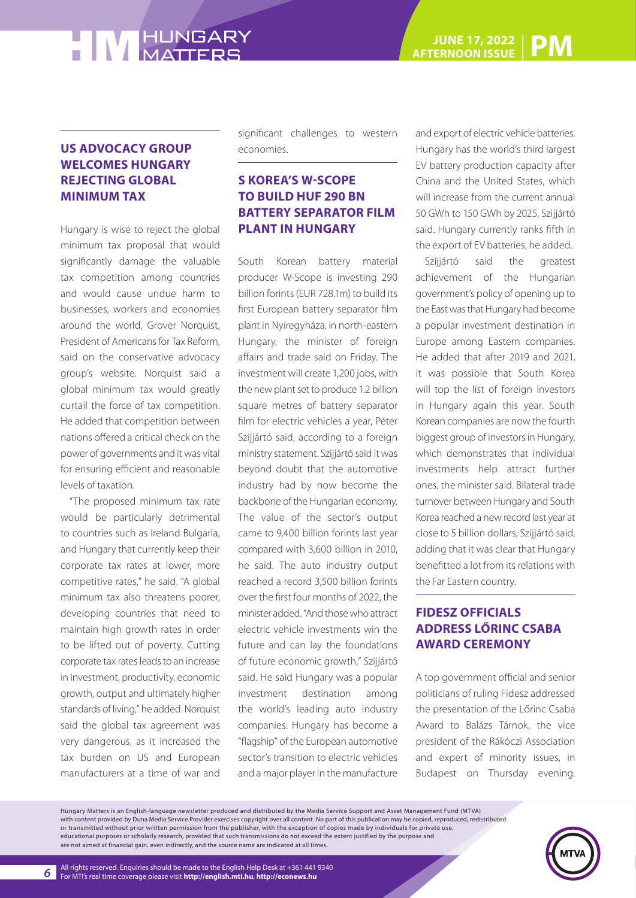#### **US ADVOCACY GROUP WELCOMES HUNGARY REJECTING GLOBAL MINIMUM TAX**

Hungary is wise to reject the global minimum tax proposal that would significantly damage the valuable tax competition among countries and would cause undue harm to businesses, workers and economies around the world, Grover Norquist, President of Americans for Tax Reform, said on the conservative advocacy group's website. Norquist said a global minimum tax would greatly curtail the force of tax competition. He added that competition between nations offered a critical check on the power of governments and it was vital for ensuring efficient and reasonable levels of taxation.

"The proposed minimum tax rate would be particularly detrimental to countries such as Ireland Bulgaria, and Hungary that currently keep their corporate tax rates at lower, more competitive rates," he said. "A global minimum tax also threatens poorer, developing countries that need to maintain high growth rates in order to be lifted out of poverty. Cutting corporate tax rates leads to an increase in investment, productivity, economic growth, output and ultimately higher standards of living," he added. Norquist said the global tax agreement was very dangerous, as it increased the tax burden on US and European manufacturers at a time of war and significant challenges to western economies.

#### **S KOREA'S W-SCOPE TO BUILD HUF 290 BN BATTERY SEPARATOR FILM PLANT IN HUNGARY**

South Korean battery material producer W-Scope is investing 290 billion forints (EUR 728.1m) to build its first European battery separator film plant in Nyíregyháza, in north-eastern Hungary, the minister of foreign affairs and trade said on Friday. The investment will create 1,200 jobs, with the new plant set to produce 1.2 billion square metres of battery separator film for electric vehicles a year, Péter Szijjártó said, according to a foreign ministry statement. Szijjártó said it was beyond doubt that the automotive industry had by now become the backbone of the Hungarian economy. The value of the sector's output came to 9,400 billion forints last year compared with 3,600 billion in 2010, he said. The auto industry output reached a record 3,500 billion forints over the first four months of 2022, the minister added. "And those who attract electric vehicle investments win the future and can lay the foundations of future economic growth," Szijjártó said. He said Hungary was a popular investment destination among the world's leading auto industry companies. Hungary has become a "flagship" of the European automotive sector's transition to electric vehicles and a major player in the manufacture

and export of electric vehicle batteries. Hungary has the world's third largest EV battery production capacity after China and the United States, which will increase from the current annual 50 GWh to 150 GWh by 2025, Szijjártó said. Hungary currently ranks fifth in the export of EV batteries, he added.

Szijiártó said the greatest achievement of the Hungarian government's policy of opening up to the East was that Hungary had become a popular investment destination in Europe among Eastern companies. He added that after 2019 and 2021, it was possible that South Korea will top the list of foreign investors in Hungary again this year. South Korean companies are now the fourth biggest group of investors in Hungary, which demonstrates that individual investments help attract further ones, the minister said. Bilateral trade turnover between Hungary and South Korea reached a new record last year at close to 5 billion dollars, Szijjártó said, adding that it was clear that Hungary benefitted a lot from its relations with the Far Eastern country.

#### **FIDESZ OFFICIALS ADDRESS LŐRINC CSABA AWARD CEREMONY**

A top government official and senior politicians of ruling Fidesz addressed the presentation of the Lőrinc Csaba Award to Balázs Tárnok, the vice president of the Rákóczi Association and expert of minority issues, in Budapest on Thursday evening.

Hungary Matters is an English-language newsletter produced and distributed by the Media Service Support and Asset Management Fund (MTVA) with content provided by Duna Media Service Provider exercises copyright over all content. No part of this publication may be copied, reproduced, redistributed or transmitted without prior written permission from the publisher, with the exception of copies made by individuals for private use, educational purposes or scholarly research, provided that such transmissions do not exceed the extent justified by the purpose and are not aimed at financial gain, even indirectly, and the source name are indicated at all times.